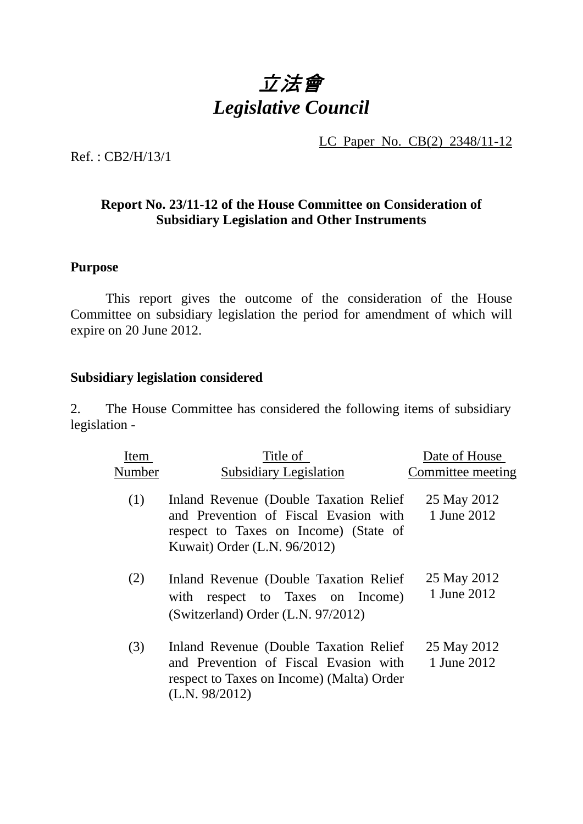## 立法會 *Legislative Council*

LC Paper No. CB(2) 2348/11-12

Ref. : CB2/H/13/1

## **Report No. 23/11-12 of the House Committee on Consideration of Subsidiary Legislation and Other Instruments**

## **Purpose**

**1** This report gives the outcome of the consideration of the House Committee on subsidiary legislation the period for amendment of which will expire on 20 June 2012.

## **Subsidiary legislation considered**

2. The House Committee has considered the following items of subsidiary legislation -

| Item   | Title of                                                                                                                                                  | Date of House              |
|--------|-----------------------------------------------------------------------------------------------------------------------------------------------------------|----------------------------|
| Number | <b>Subsidiary Legislation</b>                                                                                                                             | Committee meeting          |
| (1)    | Inland Revenue (Double Taxation Relief)<br>and Prevention of Fiscal Evasion with<br>respect to Taxes on Income) (State of<br>Kuwait) Order (L.N. 96/2012) | 25 May 2012<br>1 June 2012 |
| (2)    | Inland Revenue (Double Taxation Relief)<br>with respect to Taxes on Income)<br>(Switzerland) Order (L.N. 97/2012)                                         | 25 May 2012<br>1 June 2012 |
| (3)    | Inland Revenue (Double Taxation Relief)<br>and Prevention of Fiscal Evasion with<br>respect to Taxes on Income) (Malta) Order<br>(L.N. 98/2012)           | 25 May 2012<br>1 June 2012 |